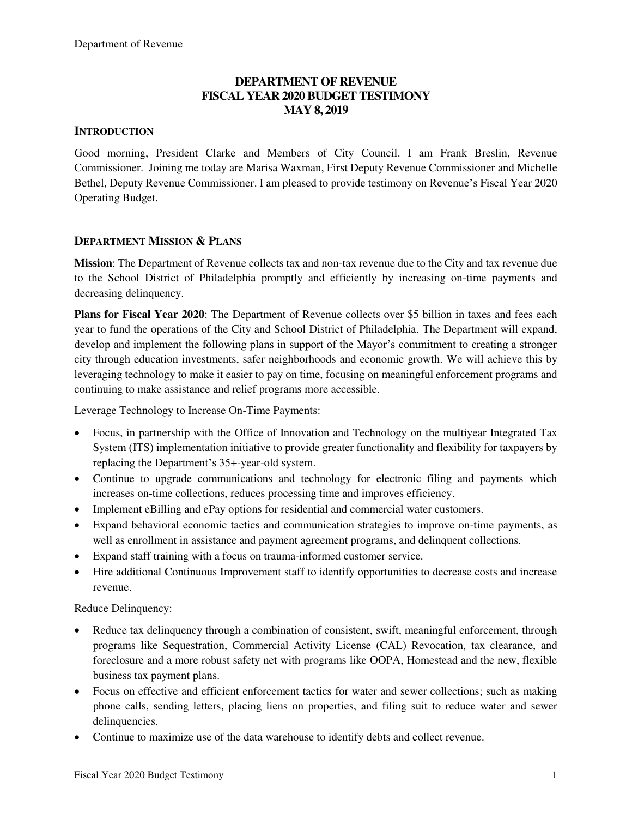### **DEPARTMENT OF REVENUE FISCAL YEAR 2020 BUDGET TESTIMONY MAY 8, 2019**

#### **INTRODUCTION**

Good morning, President Clarke and Members of City Council. I am Frank Breslin, Revenue Commissioner. Joining me today are Marisa Waxman, First Deputy Revenue Commissioner and Michelle Bethel, Deputy Revenue Commissioner. I am pleased to provide testimony on Revenue's Fiscal Year 2020 Operating Budget.

#### **DEPARTMENT MISSION & PLANS**

**Mission**: The Department of Revenue collects tax and non-tax revenue due to the City and tax revenue due to the School District of Philadelphia promptly and efficiently by increasing on-time payments and decreasing delinquency.

**Plans for Fiscal Year 2020**: The Department of Revenue collects over \$5 billion in taxes and fees each year to fund the operations of the City and School District of Philadelphia. The Department will expand, develop and implement the following plans in support of the Mayor's commitment to creating a stronger city through education investments, safer neighborhoods and economic growth. We will achieve this by leveraging technology to make it easier to pay on time, focusing on meaningful enforcement programs and continuing to make assistance and relief programs more accessible.

Leverage Technology to Increase On-Time Payments:

- Focus, in partnership with the Office of Innovation and Technology on the multiyear Integrated Tax System (ITS) implementation initiative to provide greater functionality and flexibility for taxpayers by replacing the Department's 35+-year-old system.
- Continue to upgrade communications and technology for electronic filing and payments which increases on-time collections, reduces processing time and improves efficiency.
- Implement eBilling and ePay options for residential and commercial water customers.
- Expand behavioral economic tactics and communication strategies to improve on-time payments, as well as enrollment in assistance and payment agreement programs, and delinquent collections.
- Expand staff training with a focus on trauma-informed customer service.
- Hire additional Continuous Improvement staff to identify opportunities to decrease costs and increase revenue.

Reduce Delinquency:

- Reduce tax delinquency through a combination of consistent, swift, meaningful enforcement, through programs like Sequestration, Commercial Activity License (CAL) Revocation, tax clearance, and foreclosure and a more robust safety net with programs like OOPA, Homestead and the new, flexible business tax payment plans.
- Focus on effective and efficient enforcement tactics for water and sewer collections; such as making phone calls, sending letters, placing liens on properties, and filing suit to reduce water and sewer delinquencies.
- Continue to maximize use of the data warehouse to identify debts and collect revenue.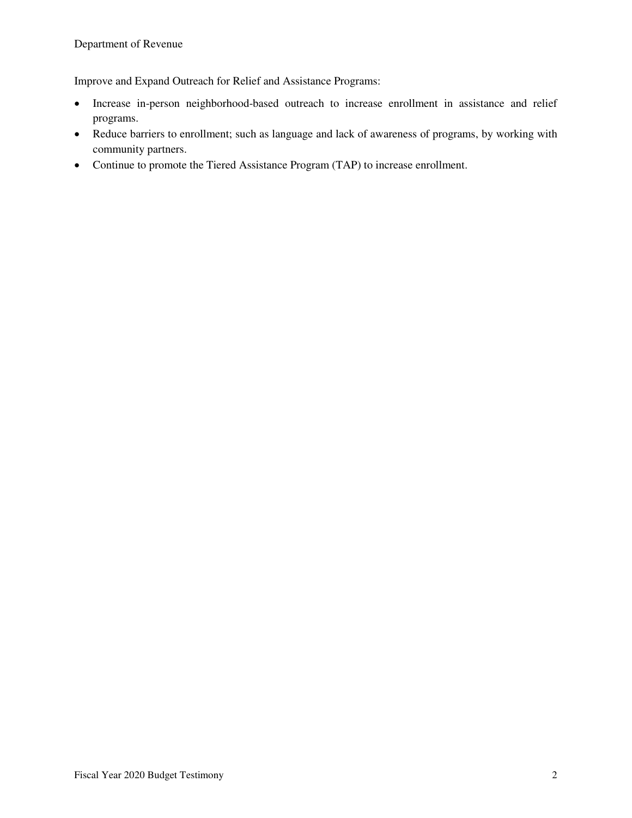Improve and Expand Outreach for Relief and Assistance Programs:

- Increase in-person neighborhood-based outreach to increase enrollment in assistance and relief programs.
- Reduce barriers to enrollment; such as language and lack of awareness of programs, by working with community partners.
- Continue to promote the Tiered Assistance Program (TAP) to increase enrollment.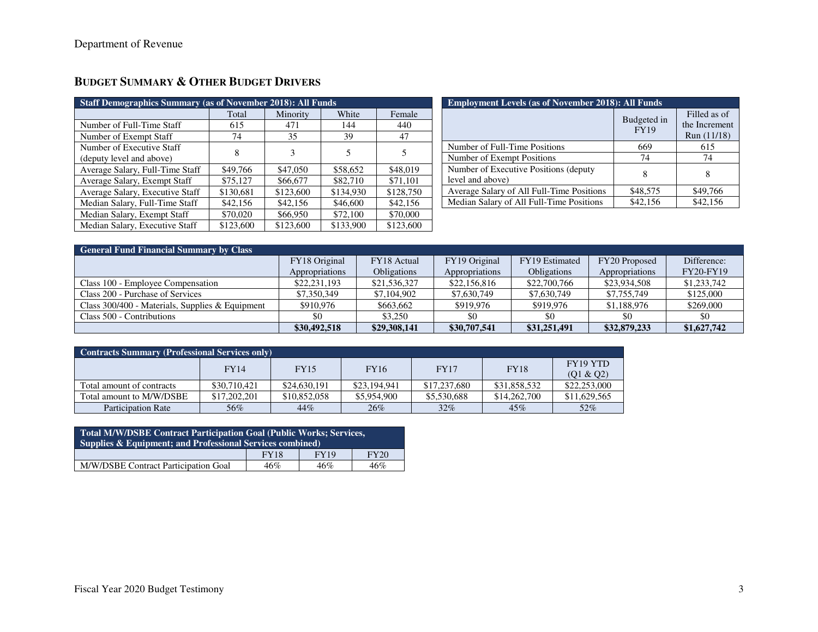| <b>Staff Demographics Summary (as of November 2018): All Funds</b> |           |           |           |           |
|--------------------------------------------------------------------|-----------|-----------|-----------|-----------|
|                                                                    | Total     | Minority  | White     | Female    |
| Number of Full-Time Staff                                          | 615       | 471       | 144       | 440       |
| Number of Exempt Staff                                             | 74        | 35        | 39        | 47        |
| Number of Executive Staff                                          | 8         | 3         | 5         | 5         |
| (deputy level and above)                                           |           |           |           |           |
| Average Salary, Full-Time Staff                                    | \$49,766  | \$47,050  | \$58,652  | \$48,019  |
| Average Salary, Exempt Staff                                       | \$75,127  | \$66,677  | \$82,710  | \$71,101  |
| Average Salary, Executive Staff                                    | \$130,681 | \$123,600 | \$134,930 | \$128,750 |
| Median Salary, Full-Time Staff                                     | \$42,156  | \$42,156  | \$46,600  | \$42,156  |
| Median Salary, Exempt Staff                                        | \$70,020  | \$66,950  | \$72,100  | \$70,000  |
| Median Salary, Executive Staff                                     | \$123,600 | \$123,600 | \$133,900 | \$123,600 |

# **BUDGET SUMMARY & OTHER BUDGET DRIVERS**

| <b>Employment Levels (as of November 2018): All Funds</b>  |                            |                                              |  |  |  |  |
|------------------------------------------------------------|----------------------------|----------------------------------------------|--|--|--|--|
|                                                            | Budgeted in<br><b>FY19</b> | Filled as of<br>the Increment<br>Run (11/18) |  |  |  |  |
| Number of Full-Time Positions                              | 669                        | 615                                          |  |  |  |  |
| Number of Exempt Positions                                 | 74                         | 74                                           |  |  |  |  |
| Number of Executive Positions (deputy)<br>level and above) |                            |                                              |  |  |  |  |
| Average Salary of All Full-Time Positions                  | \$48,575                   | \$49,766                                     |  |  |  |  |
| Median Salary of All Full-Time Positions                   | \$42,156                   | \$42,156                                     |  |  |  |  |

| <b>General Fund Financial Summary by Class</b>  |                |                    |                |                    |                |                  |  |  |
|-------------------------------------------------|----------------|--------------------|----------------|--------------------|----------------|------------------|--|--|
|                                                 | FY18 Original  | FY18 Actual        | FY19 Original  | FY19 Estimated     | FY20 Proposed  | Difference:      |  |  |
|                                                 | Appropriations | <b>Obligations</b> | Appropriations | <b>Obligations</b> | Appropriations | <b>FY20-FY19</b> |  |  |
| Class 100 - Employee Compensation               | \$22,231,193   | \$21,536,327       | \$22,156,816   | \$22,700,766       | \$23,934,508   | \$1,233,742      |  |  |
| Class 200 - Purchase of Services                | \$7,350,349    | \$7,104,902        | \$7,630,749    | \$7,630,749        | \$7,755,749    | \$125,000        |  |  |
| Class 300/400 - Materials, Supplies & Equipment | \$910.976      | \$663,662          | \$919,976      | \$919.976          | \$1,188,976    | \$269,000        |  |  |
| Class 500 - Contributions                       | \$0            | \$3,250            | \$0            | \$0                | \$0            | \$0              |  |  |
|                                                 | \$30,492,518   | \$29,308,141       | \$30,707,541   | \$31,251,491       | \$32,879,233   | \$1,627,742      |  |  |

| <b>Contracts Summary (Professional Services only)</b> |              |              |              |              |              |                                   |
|-------------------------------------------------------|--------------|--------------|--------------|--------------|--------------|-----------------------------------|
|                                                       | FY14         | <b>FY15</b>  | <b>FY16</b>  | <b>FY17</b>  | <b>FY18</b>  | FY <sub>19</sub> YTD<br>(Q1 & Q2) |
| Total amount of contracts                             | \$30,710,421 | \$24,630,191 | \$23,194,941 | \$17,237,680 | \$31,858,532 | \$22,253,000                      |
| Total amount to M/W/DSBE                              | \$17,202,201 | \$10,852,058 | \$5,954,900  | \$5,530,688  | \$14,262,700 | \$11,629,565                      |
| <b>Participation Rate</b>                             | 56%          | 44%          | 26%          | $32\%$       | 45%          | 52%                               |

| Total M/W/DSBE Contract Participation Goal (Public Works; Services,<br><b>Supplies &amp; Equipment: and Professional Services combined)</b> |             |             |      |  |  |
|---------------------------------------------------------------------------------------------------------------------------------------------|-------------|-------------|------|--|--|
|                                                                                                                                             | <b>FY18</b> | <b>FY19</b> | FY20 |  |  |
| M/W/DSBE Contract Participation Goal                                                                                                        | 46%         | 46%         | 46%  |  |  |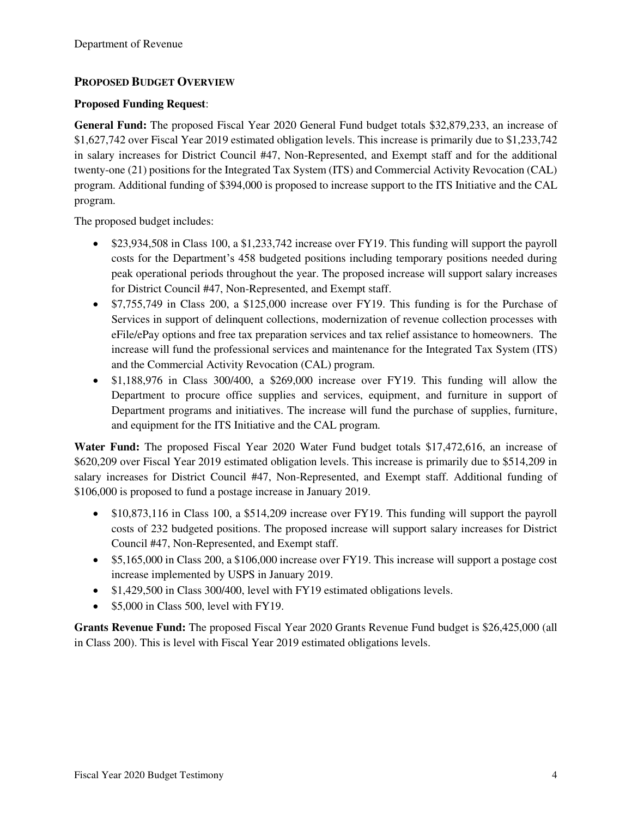### **PROPOSED BUDGET OVERVIEW**

#### **Proposed Funding Request**:

**General Fund:** The proposed Fiscal Year 2020 General Fund budget totals \$32,879,233, an increase of \$1,627,742 over Fiscal Year 2019 estimated obligation levels. This increase is primarily due to \$1,233,742 in salary increases for District Council #47, Non-Represented, and Exempt staff and for the additional twenty-one (21) positions for the Integrated Tax System (ITS) and Commercial Activity Revocation (CAL) program. Additional funding of \$394,000 is proposed to increase support to the ITS Initiative and the CAL program.

The proposed budget includes:

- \$23,934,508 in Class 100, a \$1,233,742 increase over FY19. This funding will support the payroll costs for the Department's 458 budgeted positions including temporary positions needed during peak operational periods throughout the year. The proposed increase will support salary increases for District Council #47, Non-Represented, and Exempt staff.
- \$7,755,749 in Class 200, a \$125,000 increase over FY19. This funding is for the Purchase of Services in support of delinquent collections, modernization of revenue collection processes with eFile/ePay options and free tax preparation services and tax relief assistance to homeowners. The increase will fund the professional services and maintenance for the Integrated Tax System (ITS) and the Commercial Activity Revocation (CAL) program.
- \$1,188,976 in Class 300/400, a \$269,000 increase over FY19. This funding will allow the Department to procure office supplies and services, equipment, and furniture in support of Department programs and initiatives. The increase will fund the purchase of supplies, furniture, and equipment for the ITS Initiative and the CAL program.

**Water Fund:** The proposed Fiscal Year 2020 Water Fund budget totals \$17,472,616, an increase of \$620,209 over Fiscal Year 2019 estimated obligation levels. This increase is primarily due to \$514,209 in salary increases for District Council #47, Non-Represented, and Exempt staff. Additional funding of \$106,000 is proposed to fund a postage increase in January 2019.

- \$10,873,116 in Class 100, a \$514,209 increase over FY19. This funding will support the payroll costs of 232 budgeted positions. The proposed increase will support salary increases for District Council #47, Non-Represented, and Exempt staff.
- \$5,165,000 in Class 200, a \$106,000 increase over FY19. This increase will support a postage cost increase implemented by USPS in January 2019.
- \$1,429,500 in Class 300/400, level with FY19 estimated obligations levels.
- \$5,000 in Class 500, level with FY19.

**Grants Revenue Fund:** The proposed Fiscal Year 2020 Grants Revenue Fund budget is \$26,425,000 (all in Class 200). This is level with Fiscal Year 2019 estimated obligations levels.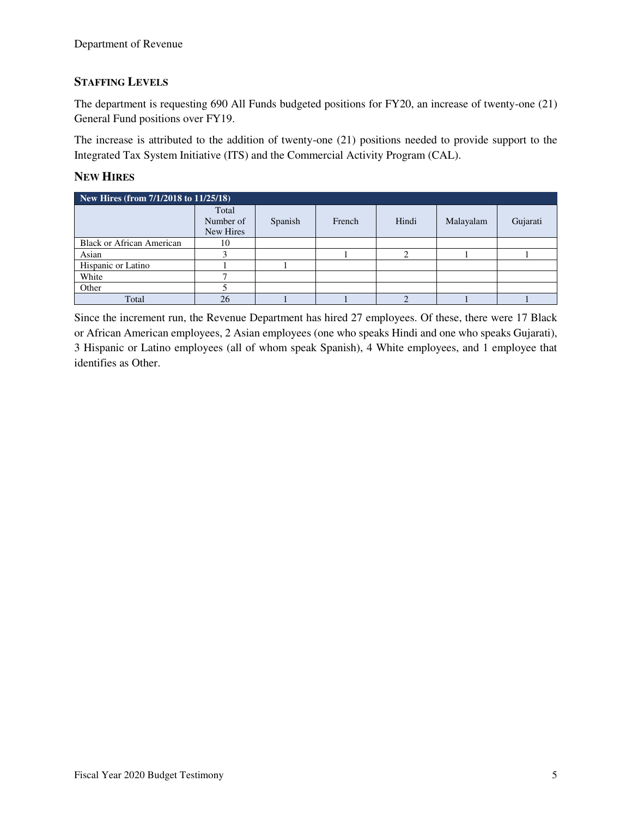### **STAFFING LEVELS**

The department is requesting 690 All Funds budgeted positions for FY20, an increase of twenty-one (21) General Fund positions over FY19.

The increase is attributed to the addition of twenty-one (21) positions needed to provide support to the Integrated Tax System Initiative (ITS) and the Commercial Activity Program (CAL).

### **NEW HIRES**

| New Hires (from 7/1/2018 to 11/25/18) |                                 |         |        |       |           |          |  |  |
|---------------------------------------|---------------------------------|---------|--------|-------|-----------|----------|--|--|
|                                       | Total<br>Number of<br>New Hires | Spanish | French | Hindi | Malayalam | Gujarati |  |  |
| <b>Black or African American</b>      | 10                              |         |        |       |           |          |  |  |
| Asian                                 |                                 |         |        |       |           |          |  |  |
| Hispanic or Latino                    |                                 |         |        |       |           |          |  |  |
| White                                 |                                 |         |        |       |           |          |  |  |
| Other                                 |                                 |         |        |       |           |          |  |  |
| Total                                 | 26                              |         |        |       |           |          |  |  |

Since the increment run, the Revenue Department has hired 27 employees. Of these, there were 17 Black or African American employees, 2 Asian employees (one who speaks Hindi and one who speaks Gujarati), 3 Hispanic or Latino employees (all of whom speak Spanish), 4 White employees, and 1 employee that identifies as Other.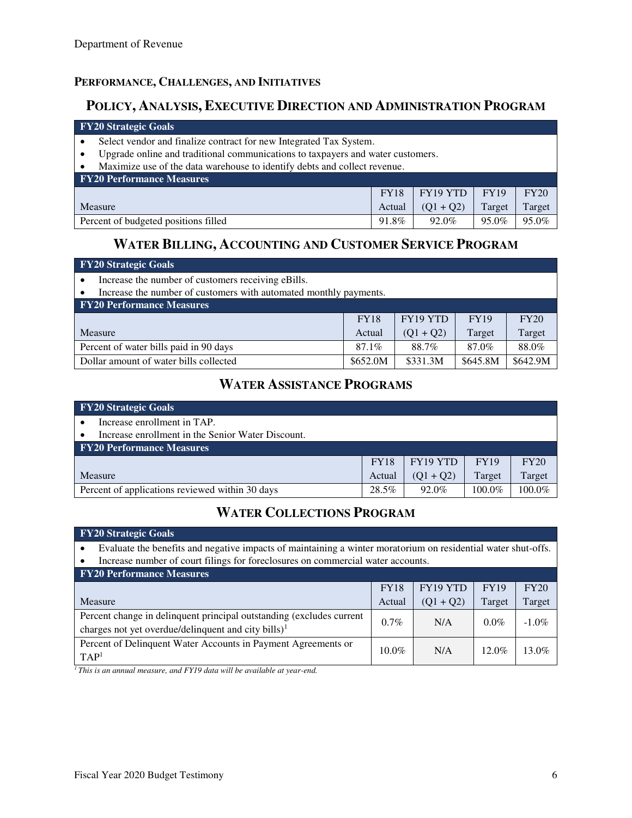### **PERFORMANCE, CHALLENGES, AND INITIATIVES**

## **POLICY, ANALYSIS, EXECUTIVE DIRECTION AND ADMINISTRATION PROGRAM**

#### **FY20 Strategic Goals**

- Select vendor and finalize contract for new Integrated Tax System.
- Upgrade online and traditional communications to taxpayers and water customers.
- Maximize use of the data warehouse to identify debts and collect revenue.

| <b>FY20 Performance Measures</b>     |             |             |             |        |
|--------------------------------------|-------------|-------------|-------------|--------|
|                                      | <b>FY18</b> | FY19 YTD    | <b>FY19</b> | FY20   |
| Measure                              | Actual      | $(01 + 02)$ | Target      | Target |
| Percent of budgeted positions filled | 91.8%       | 92.0%       | 95.0%       | 95.0%  |

## **WATER BILLING, ACCOUNTING AND CUSTOMER SERVICE PROGRAM**

#### **FY20 Strategic Goals**

• Increase the number of customers receiving eBills.

• Increase the number of customers with automated monthly payments.

| <b>FY20 Performance Measures</b>       |             |             |             |          |  |  |  |
|----------------------------------------|-------------|-------------|-------------|----------|--|--|--|
|                                        | <b>FY18</b> | FY19 YTD    | <b>FY19</b> | FY20     |  |  |  |
| Measure                                | Actual      | $(01 + 02)$ | Target      | Target   |  |  |  |
| Percent of water bills paid in 90 days | $87.1\%$    | 88.7%       | 87.0%       | 88.0%    |  |  |  |
| Dollar amount of water bills collected | \$652.0M    | \$331.3M    | \$645.8M    | \$642.9M |  |  |  |

# **WATER ASSISTANCE PROGRAMS**

| <b>FY20 Strategic Goals</b>                       |             |             |             |        |
|---------------------------------------------------|-------------|-------------|-------------|--------|
| Increase enrollment in TAP.                       |             |             |             |        |
| Increase enrollment in the Senior Water Discount. |             |             |             |        |
| <b>FY20 Performance Measures</b>                  |             |             |             |        |
|                                                   | <b>FY18</b> | FY19 YTD    | <b>FY19</b> | FY20   |
| Measure                                           | Actual      | $(O1 + O2)$ | Target      | Target |
| Percent of applications reviewed within 30 days   | 28.5%       | 92.0%       | 100.0%      | 100.0% |

# **WATER COLLECTIONS PROGRAM**

| FY20 Strategic Goals                                                                                                                    |             |             |             |          |  |  |
|-----------------------------------------------------------------------------------------------------------------------------------------|-------------|-------------|-------------|----------|--|--|
| Evaluate the benefits and negative impacts of maintaining a winter moratorium on residential water shut-offs.<br>$\bullet$              |             |             |             |          |  |  |
| Increase number of court filings for foreclosures on commercial water accounts.                                                         |             |             |             |          |  |  |
| <b>FY20 Performance Measures</b>                                                                                                        |             |             |             |          |  |  |
|                                                                                                                                         | <b>FY18</b> | FY19 YTD    | <b>FY19</b> | FY20     |  |  |
| Measure                                                                                                                                 | Actual      | $(Q1 + Q2)$ | Target      | Target   |  |  |
| Percent change in delinquent principal outstanding (excludes current<br>charges not yet overdue/delinquent and city bills) <sup>1</sup> | $0.7\%$     | N/A         | $0.0\%$     | $-1.0\%$ |  |  |
| Percent of Delinquent Water Accounts in Payment Agreements or<br>TAP <sup>1</sup>                                                       | $10.0\%$    | N/A         | $12.0\%$    | $13.0\%$ |  |  |

*1 This is an annual measure, and FY19 data will be available at year-end.*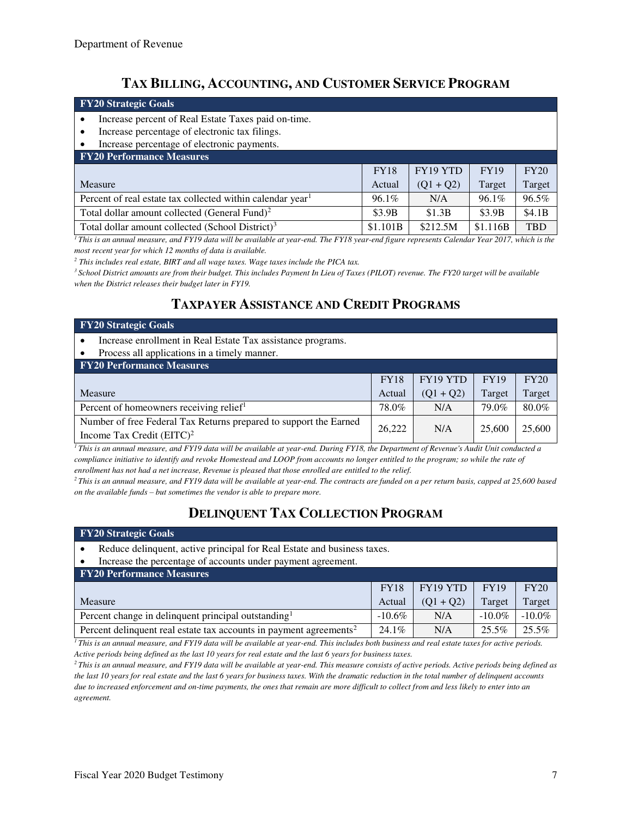# **TAX BILLING, ACCOUNTING, AND CUSTOMER SERVICE PROGRAM**

| <b>FY20 Strategic Goals</b>                                                                                                                  |             |             |             |            |
|----------------------------------------------------------------------------------------------------------------------------------------------|-------------|-------------|-------------|------------|
| Increase percent of Real Estate Taxes paid on-time.                                                                                          |             |             |             |            |
| Increase percentage of electronic tax filings.                                                                                               |             |             |             |            |
| Increase percentage of electronic payments.                                                                                                  |             |             |             |            |
| <b>FY20 Performance Measures</b>                                                                                                             |             |             |             |            |
|                                                                                                                                              | <b>FY18</b> | FY19 YTD    | <b>FY19</b> | FY20       |
| Measure                                                                                                                                      | Actual      | $(Q1 + Q2)$ | Target      | Target     |
| Percent of real estate tax collected within calendar year <sup>1</sup>                                                                       | 96.1%       | N/A         | 96.1%       | 96.5%      |
| Total dollar amount collected (General Fund) <sup>2</sup>                                                                                    | \$3.9B      | \$1.3B      | \$3.9B      | \$4.1B     |
| Total dollar amount collected (School District) <sup>3</sup>                                                                                 | \$1.101B    | \$212.5M    | \$1.116B    | <b>TBD</b> |
| This is an annual measure, and EVIO data will be available at year-and. The EVIS year-and figure represents Calendar Vear 2017, which is the |             |             |             |            |

*<sup>1</sup>This is an annual measure, and FY19 data will be available at year-end. The FY18 year-end figure represents Calendar Year 2017, which is the most recent year for which 12 months of data is available.* 

<sup>2</sup> This includes real estate, BIRT and all wage taxes. Wage taxes include the PICA tax.

*<sup>3</sup>School District amounts are from their budget. This includes Payment In Lieu of Taxes (PILOT) revenue. The FY20 target will be available when the District releases their budget later in FY19.*

### **TAXPAYER ASSISTANCE AND CREDIT PROGRAMS**

| <b>FY20 Strategic Goals</b>                                                                       |             |             |             |        |  |
|---------------------------------------------------------------------------------------------------|-------------|-------------|-------------|--------|--|
| Increase enrollment in Real Estate Tax assistance programs.<br>٠                                  |             |             |             |        |  |
| Process all applications in a timely manner.<br>٠                                                 |             |             |             |        |  |
| <b>FY20 Performance Measures</b>                                                                  |             |             |             |        |  |
|                                                                                                   | <b>FY18</b> | FY19 YTD    | <b>FY19</b> | FY20   |  |
| Measure                                                                                           | Actual      | $(Q1 + Q2)$ | Target      | Target |  |
| Percent of homeowners receiving relief <sup>1</sup>                                               | 78.0%       | N/A         | 79.0%       | 80.0%  |  |
| Number of free Federal Tax Returns prepared to support the Earned<br>Income Tax Credit $(EITC)^2$ | 26,222      | N/A         | 25,600      | 25,600 |  |

*<sup>1</sup>This is an annual measure, and FY19 data will be available at year-end. During FY18, the Department of Revenue's Audit Unit conducted a compliance initiative to identify and revoke Homestead and LOOP from accounts no longer entitled to the program; so while the rate of enrollment has not had a net increase, Revenue is pleased that those enrolled are entitled to the relief.* 

<sup>2</sup>*This is an annual measure, and FY19 data will be available at year-end. The contracts are funded on a per return basis, capped at 25,600 based on the available funds – but sometimes the vendor is able to prepare more.* 

# **DELINQUENT TAX COLLECTION PROGRAM**

| <b>FY20 Strategic Goals</b>                                                    |             |             |             |           |  |  |  |  |
|--------------------------------------------------------------------------------|-------------|-------------|-------------|-----------|--|--|--|--|
| Reduce delinquent, active principal for Real Estate and business taxes.        |             |             |             |           |  |  |  |  |
| Increase the percentage of accounts under payment agreement.<br>$\bullet$      |             |             |             |           |  |  |  |  |
| <b>FY20 Performance Measures</b>                                               |             |             |             |           |  |  |  |  |
|                                                                                | <b>FY18</b> | FY19 YTD    | <b>FY19</b> | FY20      |  |  |  |  |
| Measure                                                                        | Actual      | $(Q1 + Q2)$ | Target      | Target    |  |  |  |  |
| Percent change in delinquent principal outstanding <sup>1</sup>                | $-10.6\%$   | N/A         | $-10.0\%$   | $-10.0\%$ |  |  |  |  |
| Percent delinquent real estate tax accounts in payment agreements <sup>2</sup> | $24.1\%$    | N/A         | $25.5\%$    | 25.5%     |  |  |  |  |

*<sup>1</sup>This is an annual measure, and FY19 data will be available at year-end. This includes both business and real estate taxes for active periods. Active periods being defined as the last 10 years for real estate and the last 6 years for business taxes.* 

*<sup>2</sup>This is an annual measure, and FY19 data will be available at year-end. This measure consists of active periods. Active periods being defined as the last 10 years for real estate and the last 6 years for business taxes. With the dramatic reduction in the total number of delinquent accounts due to increased enforcement and on-time payments, the ones that remain are more difficult to collect from and less likely to enter into an agreement.*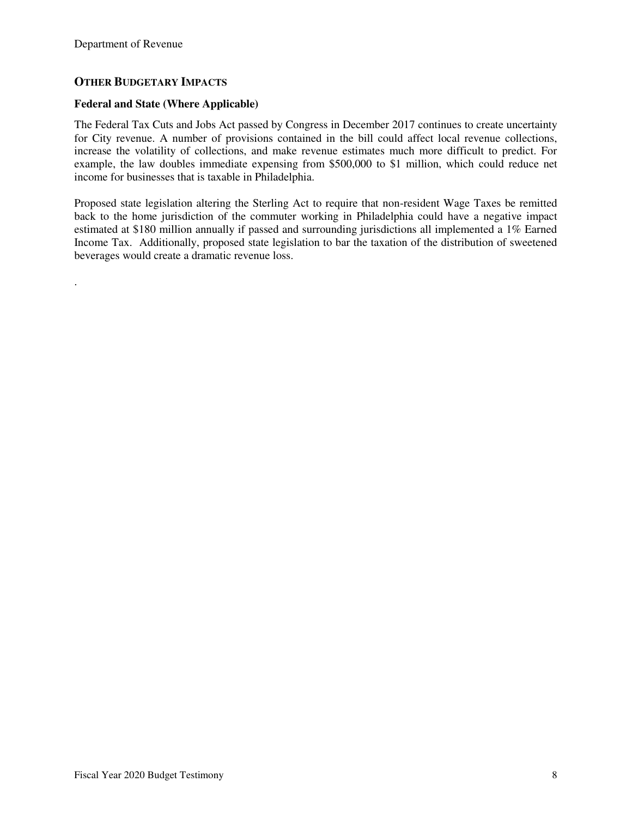.

#### **OTHER BUDGETARY IMPACTS**

#### **Federal and State (Where Applicable)**

The Federal Tax Cuts and Jobs Act passed by Congress in December 2017 continues to create uncertainty for City revenue. A number of provisions contained in the bill could affect local revenue collections, increase the volatility of collections, and make revenue estimates much more difficult to predict. For example, the law doubles immediate expensing from \$500,000 to \$1 million, which could reduce net income for businesses that is taxable in Philadelphia.

Proposed state legislation altering the Sterling Act to require that non-resident Wage Taxes be remitted back to the home jurisdiction of the commuter working in Philadelphia could have a negative impact estimated at \$180 million annually if passed and surrounding jurisdictions all implemented a 1% Earned Income Tax. Additionally, proposed state legislation to bar the taxation of the distribution of sweetened beverages would create a dramatic revenue loss.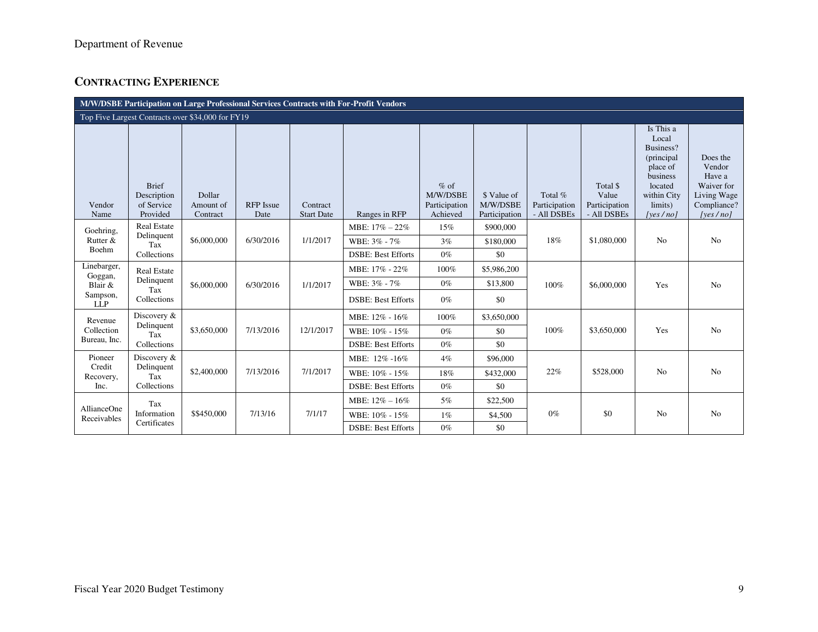## **CONTRACTING EXPERIENCE**

| M/W/DSBE Participation on Large Professional Services Contracts with For-Profit Vendors |                                                       |                                 |                          |                               |                           |                                                 |                                          |                                         |                                                   |                                                                                                                        |                                                                                      |
|-----------------------------------------------------------------------------------------|-------------------------------------------------------|---------------------------------|--------------------------|-------------------------------|---------------------------|-------------------------------------------------|------------------------------------------|-----------------------------------------|---------------------------------------------------|------------------------------------------------------------------------------------------------------------------------|--------------------------------------------------------------------------------------|
| Top Five Largest Contracts over \$34,000 for FY19                                       |                                                       |                                 |                          |                               |                           |                                                 |                                          |                                         |                                                   |                                                                                                                        |                                                                                      |
| Vendor<br>Name                                                                          | <b>Brief</b><br>Description<br>of Service<br>Provided | Dollar<br>Amount of<br>Contract | <b>RFP</b> Issue<br>Date | Contract<br><b>Start Date</b> | Ranges in RFP             | $%$ of<br>M/W/DSBE<br>Participation<br>Achieved | \$ Value of<br>M/W/DSBE<br>Participation | Total %<br>Participation<br>- All DSBEs | Total \$<br>Value<br>Participation<br>- All DSBEs | Is This a<br>Local<br>Business?<br>(principal<br>place of<br>business<br>located<br>within City<br>limits)<br>[yes/no] | Does the<br>Vendor<br>Have a<br>Waiver for<br>Living Wage<br>Compliance?<br>[yes/no] |
| Goehring,                                                                               | <b>Real Estate</b><br>Delinquent                      |                                 |                          |                               | MBE: $17\% - 22\%$        | 15%                                             | \$900,000                                |                                         |                                                   |                                                                                                                        |                                                                                      |
| Rutter &<br>Boehm                                                                       | Tax                                                   | \$6,000,000                     | 6/30/2016                | 1/1/2017                      | WBE: 3% - 7%              | 3%                                              | \$180,000                                | 18%                                     | \$1,080,000                                       | N <sub>o</sub>                                                                                                         | N <sub>o</sub>                                                                       |
|                                                                                         | Collections                                           |                                 |                          |                               | <b>DSBE: Best Efforts</b> | $0\%$                                           | \$0                                      |                                         |                                                   |                                                                                                                        |                                                                                      |
| Linebarger,<br>Goggan,                                                                  | <b>Real Estate</b>                                    |                                 |                          |                               | MBE: 17% - 22%            | 100%                                            | \$5,986,200                              |                                         |                                                   |                                                                                                                        |                                                                                      |
| Blair $\&$                                                                              | Delinquent<br>Tax                                     | \$6,000,000                     | 6/30/2016                | 1/1/2017                      | WBE: 3% - 7%              | $0\%$                                           | \$13,800                                 | 100%                                    | \$6,000,000                                       | Yes                                                                                                                    | N <sub>o</sub>                                                                       |
| Sampson,<br><b>LLP</b>                                                                  | Collections                                           |                                 |                          |                               | <b>DSBE: Best Efforts</b> | $0\%$                                           | \$0                                      |                                         |                                                   |                                                                                                                        |                                                                                      |
| Revenue                                                                                 | Discovery &                                           |                                 |                          |                               | MBE: 12% - 16%            | 100%                                            | \$3,650,000                              |                                         |                                                   |                                                                                                                        |                                                                                      |
| Collection                                                                              | Delinquent<br>Tax                                     | \$3,650,000                     | 7/13/2016                | 12/1/2017                     | WBE: 10% - 15%            | $0\%$                                           | \$0                                      | 100%                                    | \$3,650,000                                       | Yes                                                                                                                    | N <sub>o</sub>                                                                       |
| Bureau, Inc.                                                                            | Collections                                           |                                 |                          |                               | <b>DSBE: Best Efforts</b> | $0\%$                                           | \$0                                      |                                         |                                                   |                                                                                                                        |                                                                                      |
| Pioneer<br>Credit                                                                       | Discovery &<br>Delinquent                             |                                 |                          |                               | MBE: 12% -16%             | 4%                                              | \$96,000                                 |                                         |                                                   |                                                                                                                        |                                                                                      |
| Recovery,                                                                               | Tax                                                   | \$2,400,000                     | 7/13/2016                | 7/1/2017                      | WBE: 10% - 15%            | 18%                                             | \$432,000                                | 22%                                     | \$528,000                                         | N <sub>0</sub>                                                                                                         | N <sub>o</sub>                                                                       |
| Inc.                                                                                    | Collections                                           |                                 |                          |                               | <b>DSBE: Best Efforts</b> | $0\%$                                           | \$0                                      |                                         |                                                   |                                                                                                                        |                                                                                      |
| AllianceOne                                                                             | Tax                                                   |                                 |                          |                               | MBE: $12\% - 16\%$        | 5%                                              | \$22,500                                 |                                         |                                                   |                                                                                                                        |                                                                                      |
| Receivables                                                                             | Information<br>Certificates                           | \$\$450,000                     | 7/13/16                  | 7/1/17                        | WBE: 10% - 15%            | $1\%$                                           | \$4,500                                  | $0\%$                                   | \$0                                               | N <sub>0</sub>                                                                                                         | N <sub>o</sub>                                                                       |
|                                                                                         |                                                       |                                 |                          |                               | <b>DSBE: Best Efforts</b> | $0\%$                                           | \$0                                      |                                         |                                                   |                                                                                                                        |                                                                                      |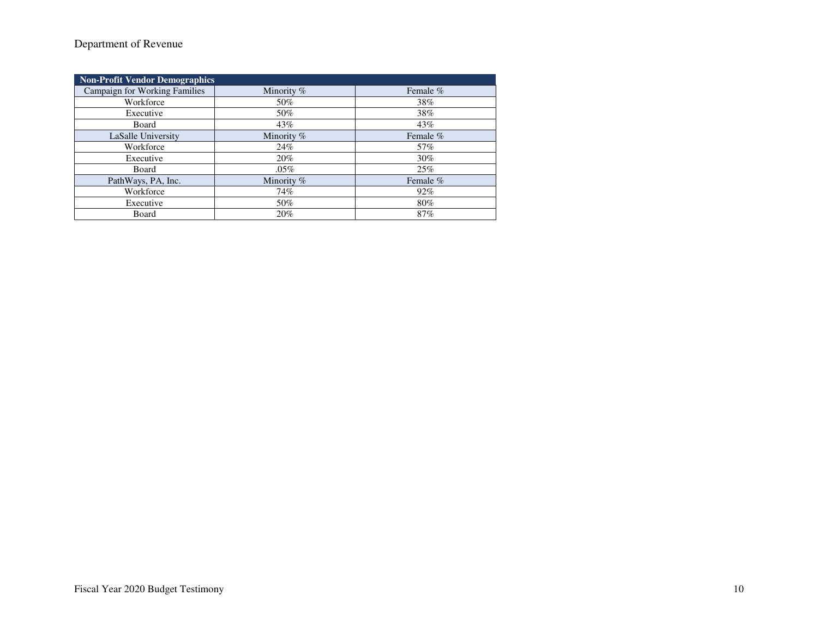### Department of Revenue

| <b>Non-Profit Vendor Demographics</b> |            |            |  |  |  |  |
|---------------------------------------|------------|------------|--|--|--|--|
| <b>Campaign for Working Families</b>  | Minority % | Female $%$ |  |  |  |  |
| Workforce                             | 50%        | 38%        |  |  |  |  |
| Executive                             | 50%        | 38%        |  |  |  |  |
| Board                                 | 43%        | 43%        |  |  |  |  |
| LaSalle University                    | Minority % | Female %   |  |  |  |  |
| Workforce                             | 24%        | 57%        |  |  |  |  |
| Executive                             | 20%        | 30%        |  |  |  |  |
| Board                                 | $.05\%$    | 25%        |  |  |  |  |
| PathWays, PA, Inc.                    | Minority % | Female %   |  |  |  |  |
| Workforce                             | 74%        | 92%        |  |  |  |  |
| Executive                             | 50%        | 80%        |  |  |  |  |
| Board                                 | 20%        | 87%        |  |  |  |  |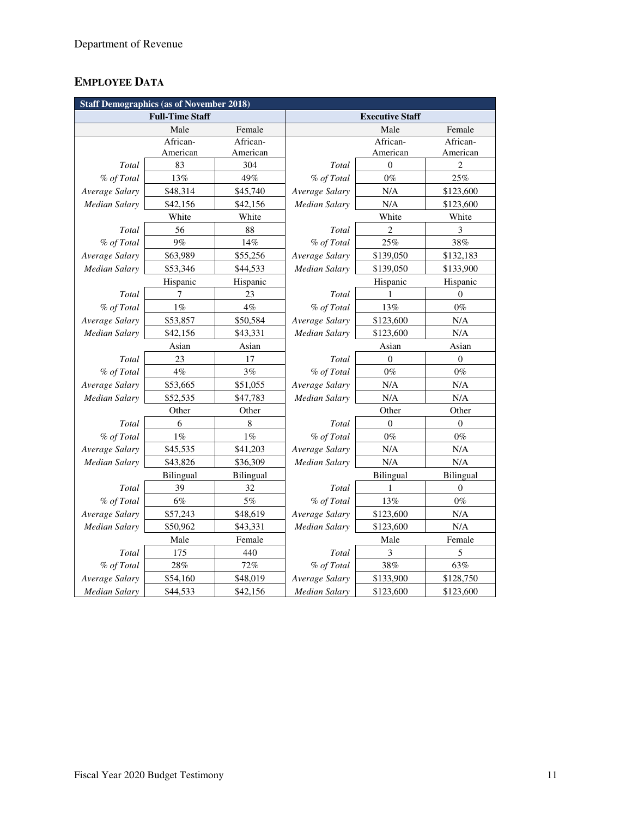# **EMPLOYEE DATA**

| <b>Staff Demographics (as of November 2018)</b> |                        |           |                             |                |                  |  |  |
|-------------------------------------------------|------------------------|-----------|-----------------------------|----------------|------------------|--|--|
|                                                 | <b>Full-Time Staff</b> |           | <b>Executive Staff</b>      |                |                  |  |  |
|                                                 | Male                   | Female    |                             | Male           | Female           |  |  |
|                                                 | African-               |           |                             | African-       | African-         |  |  |
|                                                 | American               | American  |                             | American       | American         |  |  |
| <b>Total</b>                                    | 83                     | 304       | Total                       | $\mathbf{0}$   | $\overline{c}$   |  |  |
| % of Total                                      | 13%                    | 49%       | % of Total                  | $0\%$          | 25%              |  |  |
| Average Salary                                  | \$48,314               | \$45,740  | Average Salary              | N/A            | \$123,600        |  |  |
| <b>Median Salary</b>                            | \$42,156               | \$42,156  | <b>Median Salary</b>        | N/A            | \$123,600        |  |  |
|                                                 | White                  | White     |                             | White          | White            |  |  |
| Total                                           | 56                     | 88        | Total                       | $\overline{c}$ | 3                |  |  |
| % of Total                                      | 9%                     | 14%       | % of Total                  | 25%            | 38%              |  |  |
| Average Salary                                  | \$63,989               | \$55,256  | Average Salary              | \$139,050      | \$132,183        |  |  |
| Median Salary                                   | \$53,346               | \$44,533  | Median Salary               | \$139,050      | \$133,900        |  |  |
|                                                 | Hispanic               | Hispanic  |                             | Hispanic       | Hispanic         |  |  |
| Total                                           | 7                      | 23        | Total                       | 1              | $\mathbf{0}$     |  |  |
| % of Total                                      | $1\%$                  | 4%        | % of Total                  | 13%            | $0\%$            |  |  |
| Average Salary                                  | \$53,857               | \$50,584  | Average Salary              | \$123,600      | $\rm N/A$        |  |  |
| <b>Median Salary</b>                            | \$42,156               | \$43,331  | <b>Median Salary</b>        | \$123,600      | $\rm N/A$        |  |  |
|                                                 | Asian                  | Asian     |                             | Asian          |                  |  |  |
| Total                                           | 23                     | 17        | Total<br>$\overline{0}$     |                | $\boldsymbol{0}$ |  |  |
| % of Total                                      | $4\%$                  | 3%        | % of Total                  | $0\%$          | $0\%$            |  |  |
| Average Salary                                  | \$53,665               | \$51,055  | Average Salary              | N/A            | $\rm N/A$        |  |  |
| <b>Median Salary</b>                            | \$52,535               | \$47,783  | <b>Median Salary</b>        | N/A            | N/A              |  |  |
|                                                 | Other                  | Other     | Other<br>Other              |                |                  |  |  |
| Total                                           | 6                      | 8         | Total                       | $\theta$       |                  |  |  |
| % of Total                                      | $1\%$                  | $1\%$     | % of Total                  | $0\%$          | $0\%$            |  |  |
| Average Salary                                  | \$45,535               | \$41,203  | N/A<br>Average Salary       |                | N/A              |  |  |
| Median Salary                                   | \$43,826               | \$36,309  | Median Salary               | N/A            | N/A              |  |  |
|                                                 | <b>Bilingual</b>       | Bilingual |                             | Bilingual      | <b>Bilingual</b> |  |  |
| Total                                           | 39                     | 32        | Total                       | 1              | 0                |  |  |
| % of Total                                      | 6%                     | 5%        | % of Total                  | 13%            | $0\%$            |  |  |
| Average Salary                                  | \$57,243               | \$48,619  | Average Salary<br>\$123,600 |                | N/A              |  |  |
| Median Salary                                   | \$50,962               | \$43,331  | Median Salary<br>\$123,600  |                | $\rm N/A$        |  |  |
|                                                 | Male                   | Female    | Male                        |                | Female           |  |  |
| Total                                           | 175                    | 440       | Total<br>3                  |                | 5                |  |  |
| % of Total                                      | 28%                    | 72%       | % of Total<br>$38\%$        |                | 63%              |  |  |
| Average Salary                                  | \$54,160               | \$48,019  | Average Salary<br>\$133,900 |                | \$128,750        |  |  |
| <b>Median Salary</b>                            | \$44,533               | \$42,156  | <b>Median Salary</b>        | \$123,600      | \$123,600        |  |  |